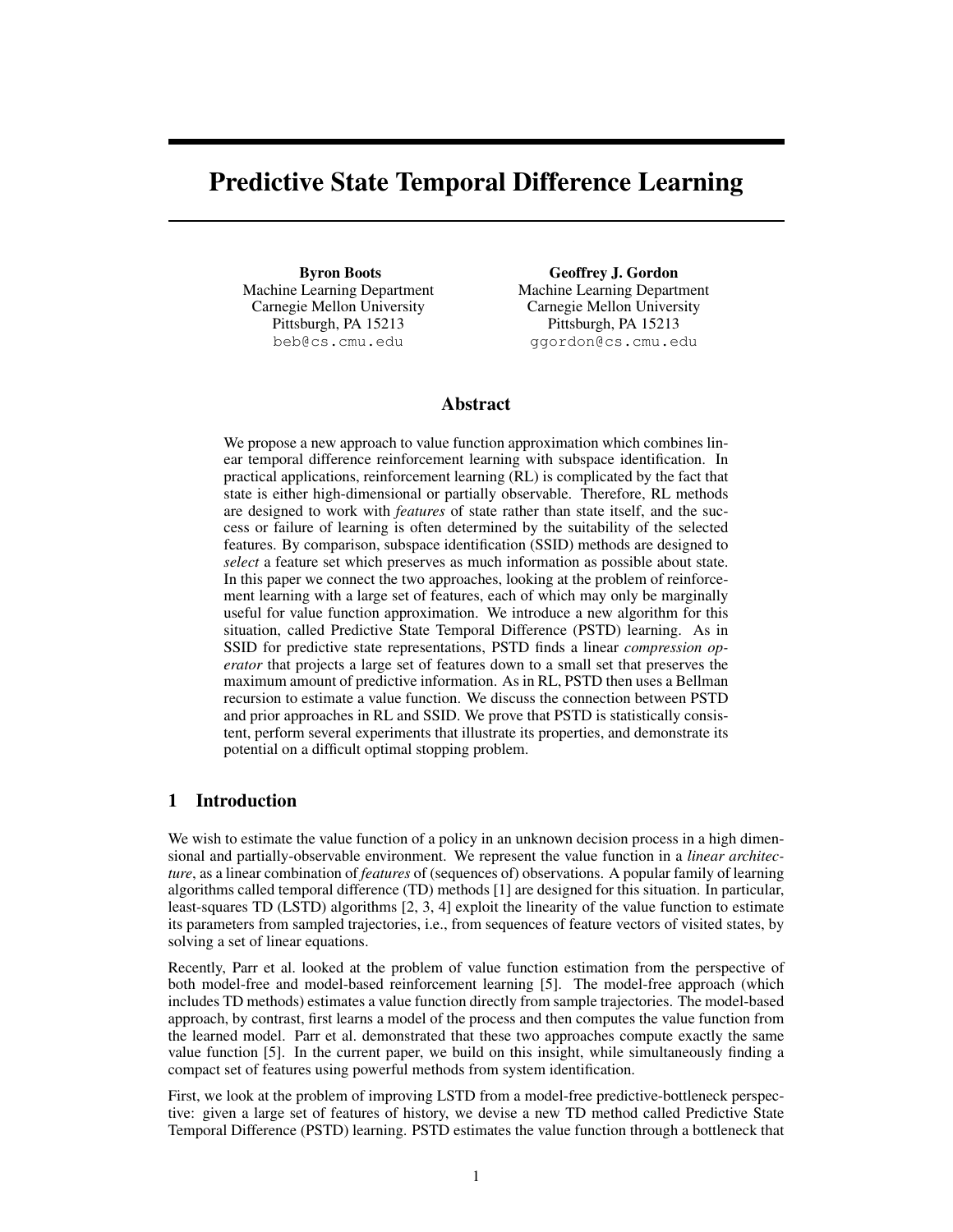# Predictive State Temporal Difference Learning

Byron Boots Machine Learning Department Carnegie Mellon University Pittsburgh, PA 15213 beb@cs.cmu.edu

Geoffrey J. Gordon Machine Learning Department Carnegie Mellon University Pittsburgh, PA 15213 ggordon@cs.cmu.edu

# Abstract

We propose a new approach to value function approximation which combines linear temporal difference reinforcement learning with subspace identification. In practical applications, reinforcement learning (RL) is complicated by the fact that state is either high-dimensional or partially observable. Therefore, RL methods are designed to work with *features* of state rather than state itself, and the success or failure of learning is often determined by the suitability of the selected features. By comparison, subspace identification (SSID) methods are designed to *select* a feature set which preserves as much information as possible about state. In this paper we connect the two approaches, looking at the problem of reinforcement learning with a large set of features, each of which may only be marginally useful for value function approximation. We introduce a new algorithm for this situation, called Predictive State Temporal Difference (PSTD) learning. As in SSID for predictive state representations, PSTD finds a linear *compression operator* that projects a large set of features down to a small set that preserves the maximum amount of predictive information. As in RL, PSTD then uses a Bellman recursion to estimate a value function. We discuss the connection between PSTD and prior approaches in RL and SSID. We prove that PSTD is statistically consistent, perform several experiments that illustrate its properties, and demonstrate its potential on a difficult optimal stopping problem.

# 1 Introduction

We wish to estimate the value function of a policy in an unknown decision process in a high dimensional and partially-observable environment. We represent the value function in a *linear architecture*, as a linear combination of *features* of (sequences of) observations. A popular family of learning algorithms called temporal difference (TD) methods [1] are designed for this situation. In particular, least-squares TD (LSTD) algorithms [2, 3, 4] exploit the linearity of the value function to estimate its parameters from sampled trajectories, i.e., from sequences of feature vectors of visited states, by solving a set of linear equations.

Recently, Parr et al. looked at the problem of value function estimation from the perspective of both model-free and model-based reinforcement learning [5]. The model-free approach (which includes TD methods) estimates a value function directly from sample trajectories. The model-based approach, by contrast, first learns a model of the process and then computes the value function from the learned model. Parr et al. demonstrated that these two approaches compute exactly the same value function [5]. In the current paper, we build on this insight, while simultaneously finding a compact set of features using powerful methods from system identification.

First, we look at the problem of improving LSTD from a model-free predictive-bottleneck perspective: given a large set of features of history, we devise a new TD method called Predictive State Temporal Difference (PSTD) learning. PSTD estimates the value function through a bottleneck that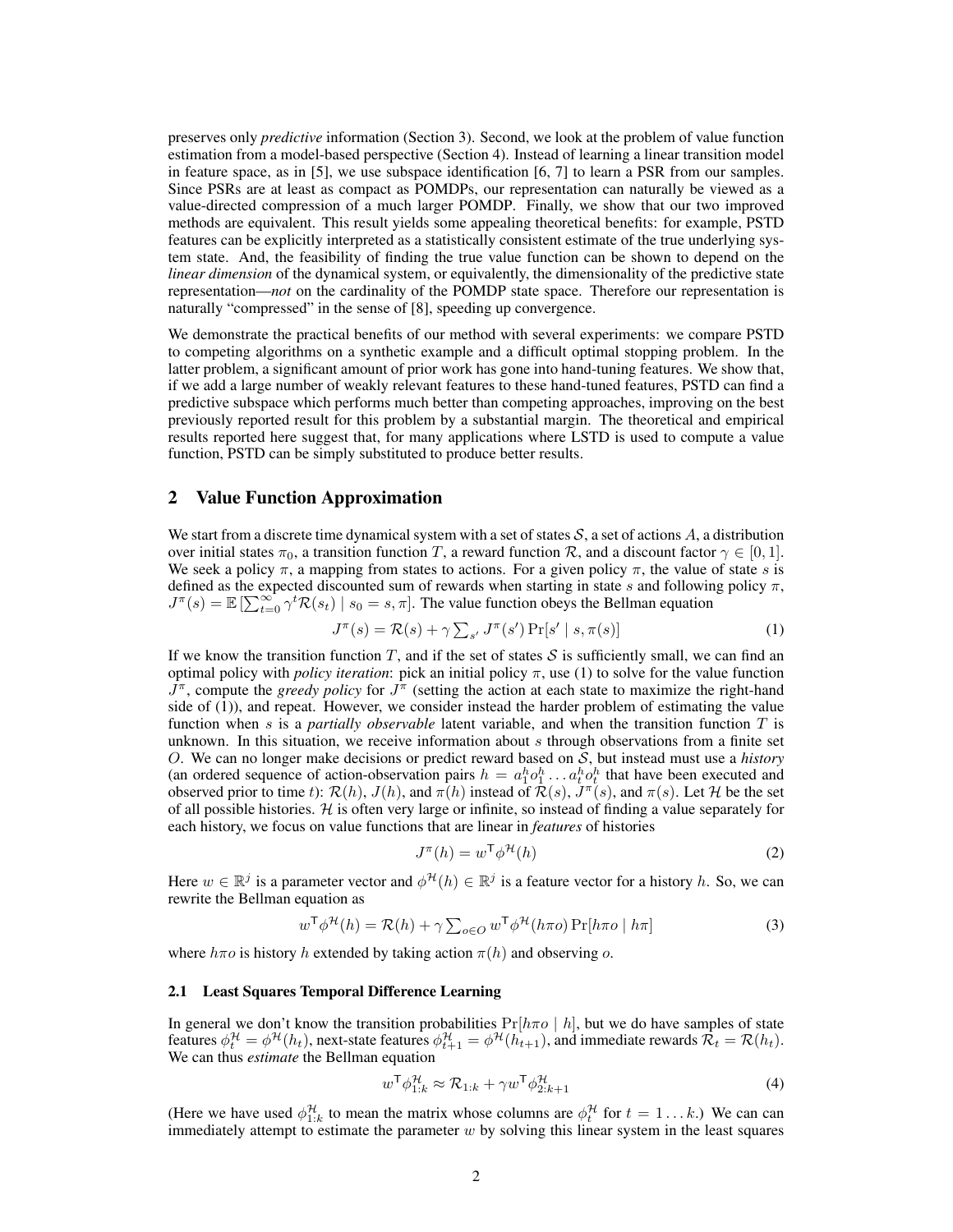preserves only *predictive* information (Section 3). Second, we look at the problem of value function estimation from a model-based perspective (Section 4). Instead of learning a linear transition model in feature space, as in [5], we use subspace identification [6, 7] to learn a PSR from our samples. Since PSRs are at least as compact as POMDPs, our representation can naturally be viewed as a value-directed compression of a much larger POMDP. Finally, we show that our two improved methods are equivalent. This result yields some appealing theoretical benefits: for example, PSTD features can be explicitly interpreted as a statistically consistent estimate of the true underlying system state. And, the feasibility of finding the true value function can be shown to depend on the *linear dimension* of the dynamical system, or equivalently, the dimensionality of the predictive state representation—*not* on the cardinality of the POMDP state space. Therefore our representation is naturally "compressed" in the sense of [8], speeding up convergence.

We demonstrate the practical benefits of our method with several experiments: we compare PSTD to competing algorithms on a synthetic example and a difficult optimal stopping problem. In the latter problem, a significant amount of prior work has gone into hand-tuning features. We show that, if we add a large number of weakly relevant features to these hand-tuned features, PSTD can find a predictive subspace which performs much better than competing approaches, improving on the best previously reported result for this problem by a substantial margin. The theoretical and empirical results reported here suggest that, for many applications where LSTD is used to compute a value function, PSTD can be simply substituted to produce better results.

## 2 Value Function Approximation

We start from a discrete time dynamical system with a set of states  $S$ , a set of actions  $A$ , a distribution over initial states  $\pi_0$ , a transition function T, a reward function R, and a discount factor  $\gamma \in [0, 1]$ . We seek a policy  $\pi$ , a mapping from states to actions. For a given policy  $\pi$ , the value of state s is defined as the expected discounted sum of rewards when starting in state s and following policy  $\pi$ ,  $J^{\pi}(s) = \mathbb{E} \left[ \sum_{t=0}^{\infty} \gamma^t \mathcal{R}(s_t) \mid s_0 = s, \pi \right]$ . The value function obeys the Bellman equation

$$
J^{\pi}(s) = \mathcal{R}(s) + \gamma \sum_{s'} J^{\pi}(s') \Pr[s' \mid s, \pi(s)] \tag{1}
$$

If we know the transition function T, and if the set of states  $S$  is sufficiently small, we can find an optimal policy with *policy iteration*: pick an initial policy  $\pi$ , use (1) to solve for the value function  $J^{\pi}$ , compute the *greedy policy* for  $J^{\pi}$  (setting the action at each state to maximize the right-hand side of (1)), and repeat. However, we consider instead the harder problem of estimating the value function when s is a *partially observable* latent variable, and when the transition function T is unknown. In this situation, we receive information about  $s$  through observations from a finite set O. We can no longer make decisions or predict reward based on S, but instead must use a *history* (an ordered sequence of action-observation pairs  $h = a_1^h o_1^h \dots a_t^h o_t^h$  that have been executed and observed prior to time t):  $\mathcal{R}(h)$ ,  $J(h)$ , and  $\pi(h)$  instead of  $\mathcal{R}(s)$ ,  $J^{\pi}(s)$ , and  $\pi(s)$ . Let H be the set of all possible histories.  $H$  is often very large or infinite, so instead of finding a value separately for each history, we focus on value functions that are linear in *features* of histories

$$
J^{\pi}(h) = w^{\mathsf{T}} \phi^{\mathcal{H}}(h)
$$
 (2)

Here  $w \in \mathbb{R}^j$  is a parameter vector and  $\phi^{\mathcal{H}}(h) \in \mathbb{R}^j$  is a feature vector for a history h. So, we can rewrite the Bellman equation as

$$
w^{\mathsf{T}}\phi^{\mathcal{H}}(h) = \mathcal{R}(h) + \gamma \sum_{o \in O} w^{\mathsf{T}}\phi^{\mathcal{H}}(h\pi o) \Pr[h\pi o \mid h\pi]
$$
 (3)

where  $h\pi o$  is history h extended by taking action  $\pi(h)$  and observing o.

#### 2.1 Least Squares Temporal Difference Learning

In general we don't know the transition probabilities  $Pr[h\pi o | h]$ , but we do have samples of state features  $\phi_t^{\mathcal{H}} = \phi^{\mathcal{H}}(h_t)$ , next-state features  $\phi_{t+1}^{\mathcal{H}} = \phi^{\mathcal{H}}(h_{t+1})$ , and immediate rewards  $\mathcal{R}_t = \mathcal{R}(h_t)$ . We can thus *estimate* the Bellman equation

$$
w^{\mathsf{T}}\phi_{1:k}^{\mathcal{H}} \approx \mathcal{R}_{1:k} + \gamma w^{\mathsf{T}}\phi_{2:k+1}^{\mathcal{H}} \tag{4}
$$

(Here we have used  $\phi_{1:k}^{\mathcal{H}}$  to mean the matrix whose columns are  $\phi_t^{\mathcal{H}}$  for  $t = 1...k$ .) We can can immediately attempt to estimate the parameter  $w$  by solving this linear system in the least squares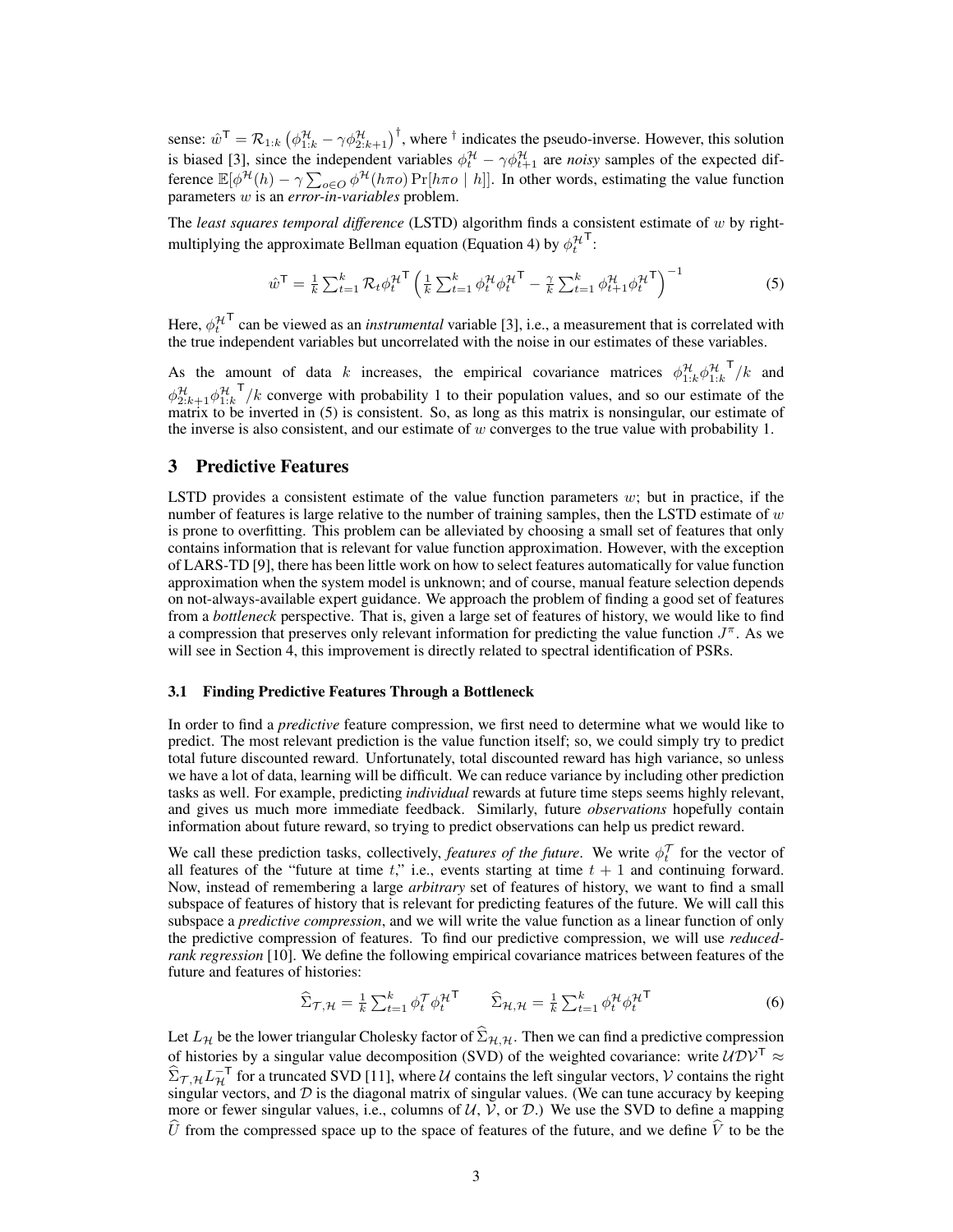sense:  $\hat{w}^{\mathsf{T}} = \mathcal{R}_{1:k} \left( \phi_{1:k}^{\mathcal{H}} - \gamma \phi_{2:k+1}^{\mathcal{H}} \right)^{\dagger}$ , where  $^{\dagger}$  indicates the pseudo-inverse. However, this solution is biased [3], since the independent variables  $\phi_t^{\mathcal{H}} - \gamma \phi_{t+1}^{\mathcal{H}}$  are *noisy* samples of the expected difference  $\mathbb{E}[\phi^{\mathcal{H}}(h) - \gamma \sum_{o \in O} \phi^{\mathcal{H}}(h\pi o) \Pr[h\pi o \mid h]]$ . In other words, estimating the value function parameters w is an *error-in-variables* problem.

The *least squares temporal difference* (LSTD) algorithm finds a consistent estimate of w by rightmultiplying the approximate Bellman equation (Equation 4) by  $\phi_t^{\mathcal{H}}$ T :

$$
\hat{w}^{\mathsf{T}} = \frac{1}{k} \sum_{t=1}^{k} \mathcal{R}_t \phi_t^{\mathcal{H}^{\mathsf{T}}} \left( \frac{1}{k} \sum_{t=1}^{k} \phi_t^{\mathcal{H}} \phi_t^{\mathcal{H}^{\mathsf{T}}} - \frac{\gamma}{k} \sum_{t=1}^{k} \phi_{t+1}^{\mathcal{H}} \phi_t^{\mathcal{H}^{\mathsf{T}}} \right)^{-1} \tag{5}
$$

Here,  $\phi_t^{\mathcal{H}}$ T can be viewed as an *instrumental* variable [3], i.e., a measurement that is correlated with the true independent variables but uncorrelated with the noise in our estimates of these variables.

As the amount of data k increases, the empirical covariance matrices  $\phi_{1:k}^{\mathcal{H}} \phi_{1:k}^{\mathcal{H}}$  $\sigma$ <sup>T</sup>/k and  $\phi_{2:k+1}^{\mathcal{H}}\phi_{1:k}^{\mathcal{H}}$  $T/k$  converge with probability 1 to their population values, and so our estimate of the matrix to be inverted in (5) is consistent. So, as long as this matrix is nonsingular, our estimate of the inverse is also consistent, and our estimate of  $w$  converges to the true value with probability 1.

## 3 Predictive Features

LSTD provides a consistent estimate of the value function parameters  $w$ ; but in practice, if the number of features is large relative to the number of training samples, then the LSTD estimate of  $w$ is prone to overfitting. This problem can be alleviated by choosing a small set of features that only contains information that is relevant for value function approximation. However, with the exception of LARS-TD [9], there has been little work on how to select features automatically for value function approximation when the system model is unknown; and of course, manual feature selection depends on not-always-available expert guidance. We approach the problem of finding a good set of features from a *bottleneck* perspective. That is, given a large set of features of history, we would like to find a compression that preserves only relevant information for predicting the value function  $J^{\pi}$ . As we will see in Section 4, this improvement is directly related to spectral identification of PSRs.

#### 3.1 Finding Predictive Features Through a Bottleneck

In order to find a *predictive* feature compression, we first need to determine what we would like to predict. The most relevant prediction is the value function itself; so, we could simply try to predict total future discounted reward. Unfortunately, total discounted reward has high variance, so unless we have a lot of data, learning will be difficult. We can reduce variance by including other prediction tasks as well. For example, predicting *individual* rewards at future time steps seems highly relevant, and gives us much more immediate feedback. Similarly, future *observations* hopefully contain information about future reward, so trying to predict observations can help us predict reward.

We call these prediction tasks, collectively, *features of the future*. We write  $\phi_t^{\mathcal{T}}$  for the vector of all features of the "future at time t," i.e., events starting at time  $t + 1$  and continuing forward. Now, instead of remembering a large *arbitrary* set of features of history, we want to find a small subspace of features of history that is relevant for predicting features of the future. We will call this subspace a *predictive compression*, and we will write the value function as a linear function of only the predictive compression of features. To find our predictive compression, we will use *reducedrank regression* [10]. We define the following empirical covariance matrices between features of the future and features of histories:

$$
\widehat{\Sigma}_{\mathcal{T},\mathcal{H}} = \frac{1}{k} \sum_{t=1}^{k} \phi_t^{\mathcal{T}} \phi_t^{\mathcal{H}}^{\mathcal{T}} \qquad \widehat{\Sigma}_{\mathcal{H},\mathcal{H}} = \frac{1}{k} \sum_{t=1}^{k} \phi_t^{\mathcal{H}} \phi_t^{\mathcal{H}}^{\mathcal{T}} \tag{6}
$$

Let  $L_H$  be the lower triangular Cholesky factor of  $\Sigma_{\mathcal{H},\mathcal{H}}$ . Then we can find a predictive compression of histories by a singular value decomposition (SVD) of the weighted covariance: write  $\mathcal{UDV}^{\mathsf{T}} \approx$  $\hat{\Sigma}_{\mathcal{T},\mathcal{H}} L_{\mathcal{H}}^{-T}$  for a truncated SVD [11], where U contains the left singular vectors, V contains the right singular vectors, and  $D$  is the diagonal matrix of singular values. (We can tune accuracy by keeping more or fewer singular values, i.e., columns of  $U, V$ , or  $D$ .) We use the SVD to define a mapping  $\hat{U}$  from the compressed space up to the space of features of the future, and we define  $\hat{V}$  to be the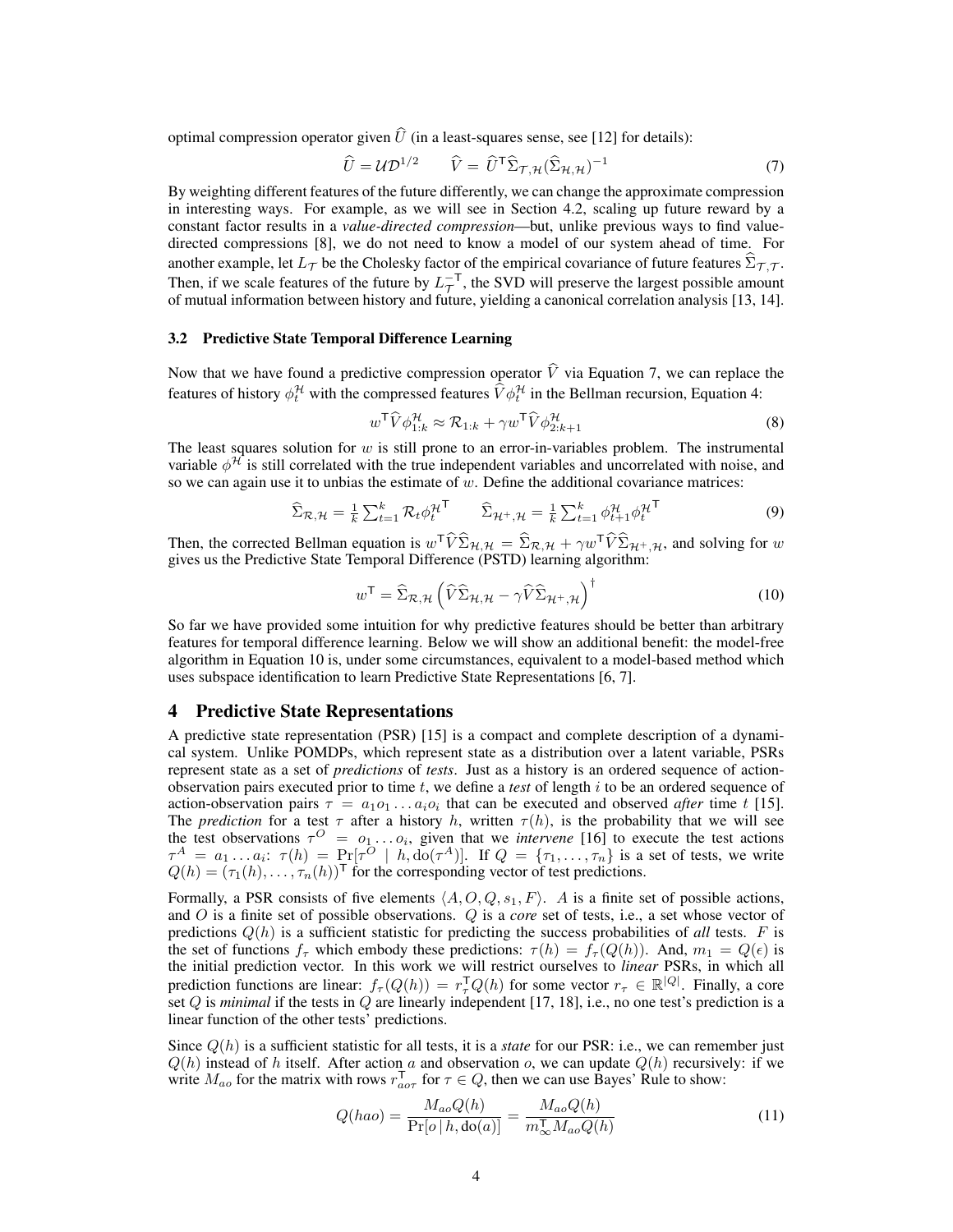optimal compression operator given  $\hat{U}$  (in a least-squares sense, see [12] for details):

$$
\widehat{U} = \mathcal{U} \mathcal{D}^{1/2} \qquad \widehat{V} = \widehat{U}^{\mathsf{T}} \widehat{\Sigma}_{\mathcal{T}, \mathcal{H}} (\widehat{\Sigma}_{\mathcal{H}, \mathcal{H}})^{-1} \tag{7}
$$

By weighting different features of the future differently, we can change the approximate compression in interesting ways. For example, as we will see in Section 4.2, scaling up future reward by a constant factor results in a *value-directed compression*—but, unlike previous ways to find valuedirected compressions [8], we do not need to know a model of our system ahead of time. For another example, let  $L_{\mathcal{T}}$  be the Cholesky factor of the empirical covariance of future features  $\Sigma_{\mathcal{T},\mathcal{T}}$ . Then, if we scale features of the future by  $L_{\mathcal{T}}^{-T}$ , the SVD will preserve the largest possible amount of mutual information between history and future, yielding a canonical correlation analysis [13, 14].

#### 3.2 Predictive State Temporal Difference Learning

Now that we have found a predictive compression operator  $\hat{V}$  via Equation 7, we can replace the features of history  $\phi_t^{\mathcal{H}}$  with the compressed features  $\hat{V} \phi_t^{\mathcal{H}}$  in the Bellman recursion, Equation 4:

$$
w^{\mathsf{T}} \widehat{V} \phi_{1:k}^{\mathcal{H}} \approx \mathcal{R}_{1:k} + \gamma w^{\mathsf{T}} \widehat{V} \phi_{2:k+1}^{\mathcal{H}} \tag{8}
$$

The least squares solution for  $w$  is still prone to an error-in-variables problem. The instrumental variable  $\phi^{\mathcal{H}}$  is still correlated with the true independent variables and uncorrelated with noise, and so we can again use it to unbias the estimate of  $w$ . Define the additional covariance matrices:

$$
\widehat{\Sigma}_{\mathcal{R},\mathcal{H}} = \frac{1}{k} \sum_{t=1}^{k} \mathcal{R}_t \phi_t^{\mathcal{H}} \qquad \widehat{\Sigma}_{\mathcal{H}^+,\mathcal{H}} = \frac{1}{k} \sum_{t=1}^{k} \phi_{t+1}^{\mathcal{H}} \phi_t^{\mathcal{H}} \qquad (9)
$$

Then, the corrected Bellman equation is  $w^T \widehat{V} \widehat{\Sigma}_{\mathcal{H},\mathcal{H}} = \widehat{\Sigma}_{\mathcal{R},\mathcal{H}} + \gamma w^T \widehat{V} \widehat{\Sigma}_{\mathcal{H}^+,\mathcal{H}}$ , and solving for w gives us the Predictive State Temporal Difference (PSTD) learning algorithm:

$$
w^{\mathsf{T}} = \widehat{\Sigma}_{\mathcal{R}, \mathcal{H}} \left( \widehat{V} \widehat{\Sigma}_{\mathcal{H}, \mathcal{H}} - \gamma \widehat{V} \widehat{\Sigma}_{\mathcal{H}^+, \mathcal{H}} \right)^{\dagger} \tag{10}
$$

So far we have provided some intuition for why predictive features should be better than arbitrary features for temporal difference learning. Below we will show an additional benefit: the model-free algorithm in Equation 10 is, under some circumstances, equivalent to a model-based method which uses subspace identification to learn Predictive State Representations [6, 7].

## 4 Predictive State Representations

A predictive state representation (PSR) [15] is a compact and complete description of a dynamical system. Unlike POMDPs, which represent state as a distribution over a latent variable, PSRs represent state as a set of *predictions* of *tests*. Just as a history is an ordered sequence of actionobservation pairs executed prior to time  $t$ , we define a *test* of length  $i$  to be an ordered sequence of action-observation pairs  $\tau = a_1 o_1 \dots a_i o_i$  that can be executed and observed *after* time t [15]. The *prediction* for a test  $\tau$  after a history h, written  $\tau(h)$ , is the probability that we will see the test observations  $\tau^{O} = o_1 \dots o_i$ , given that we *intervene* [16] to execute the test actions  $\tau^A = a_1 \dots a_i$ :  $\tau(h) = \Pr[\tau^O \mid h, \text{do}(\tau^A)]$ . If  $Q = \{\tau_1, \dots, \tau_n\}$  is a set of tests, we write  $Q(h) = (\tau_1(h), \dots, \tau_n(h))^T$  for the corresponding vector of test predictions.

Formally, a PSR consists of five elements  $\langle A, O, Q, s_1, F \rangle$ . A is a finite set of possible actions, and O is a finite set of possible observations. Q is a *core* set of tests, i.e., a set whose vector of predictions  $Q(h)$  is a sufficient statistic for predicting the success probabilities of *all* tests.  $F$  is the set of functions  $f_{\tau}$  which embody these predictions:  $\tau(h) = \bar{f}_{\tau}(Q(h))$ . And,  $m_1 = Q(\epsilon)$  is the initial prediction vector. In this work we will restrict ourselves to *linear* PSRs, in which all prediction functions are linear:  $f_\tau(Q(h)) = r_\tau^{\mathsf{T}} Q(h)$  for some vector  $r_\tau \in \mathbb{R}^{|Q|}$ . Finally, a core set  $Q$  is *minimal* if the tests in  $Q$  are linearly independent [17, 18], i.e., no one test's prediction is a linear function of the other tests' predictions.

Since  $Q(h)$  is a sufficient statistic for all tests, it is a *state* for our PSR: i.e., we can remember just  $Q(h)$  instead of h itself. After action a and observation o, we can update  $Q(h)$  recursively: if we write  $M_{ao}$  for the matrix with rows  $r_{ao\tau}^\top$  for  $\tau \in Q$ , then we can use Bayes' Rule to show:

$$
Q(hao) = \frac{M_{ao}Q(h)}{\Pr[o|h, \text{do}(a)]} = \frac{M_{ao}Q(h)}{m_{\infty}^{\mathsf{T}} M_{ao}Q(h)}\tag{11}
$$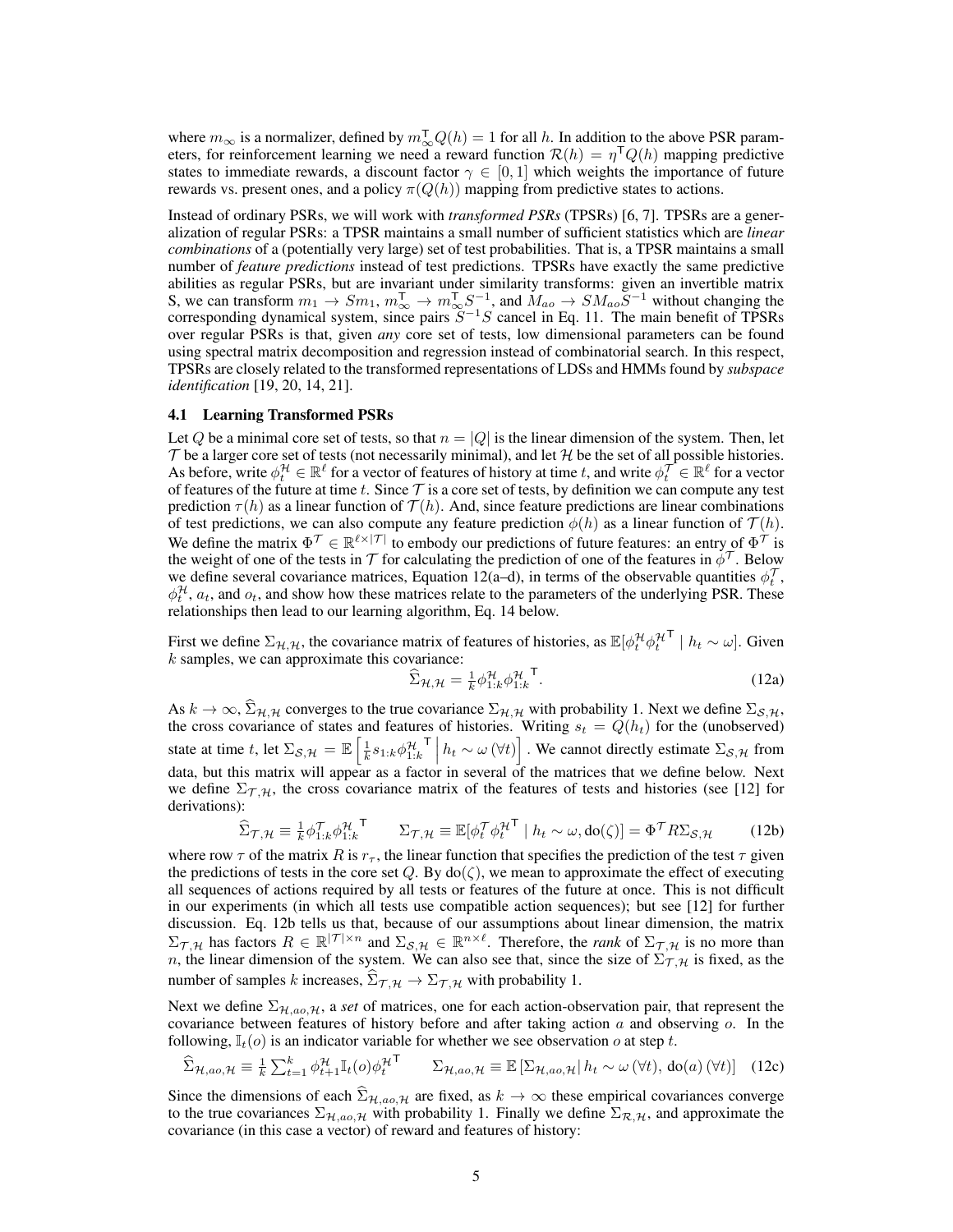where  $m_{\infty}$  is a normalizer, defined by  $m_{\infty}^{\text{T}} Q(h) = 1$  for all h. In addition to the above PSR parameters, for reinforcement learning we need a reward function  $\mathcal{R}(h) = \eta^T Q(h)$  mapping predictive states to immediate rewards, a discount factor  $\gamma \in [0,1]$  which weights the importance of future rewards vs. present ones, and a policy  $\pi(Q(h))$  mapping from predictive states to actions.

Instead of ordinary PSRs, we will work with *transformed PSRs* (TPSRs) [6, 7]. TPSRs are a generalization of regular PSRs: a TPSR maintains a small number of sufficient statistics which are *linear combinations* of a (potentially very large) set of test probabilities. That is, a TPSR maintains a small number of *feature predictions* instead of test predictions. TPSRs have exactly the same predictive abilities as regular PSRs, but are invariant under similarity transforms: given an invertible matrix S, we can transform  $m_1 \to Sm_1$ ,  $m_\infty^T \to m_\infty^T S_1^{-1}$ , and  $M_{ao} \to SM_{ao} S^{-1}$  without changing the corresponding dynamical system, since pairs  $S^{-1}S$  cancel in Eq. 11. The main benefit of TPSRs over regular PSRs is that, given *any* core set of tests, low dimensional parameters can be found using spectral matrix decomposition and regression instead of combinatorial search. In this respect, TPSRs are closely related to the transformed representations of LDSs and HMMs found by *subspace identification* [19, 20, 14, 21].

#### 4.1 Learning Transformed PSRs

Let Q be a minimal core set of tests, so that  $n = |Q|$  is the linear dimension of the system. Then, let  $\tau$  be a larger core set of tests (not necessarily minimal), and let  $\mathcal H$  be the set of all possible histories. As before, write  $\phi_t^{\mathcal{H}} \in \mathbb{R}^{\ell}$  for a vector of features of history at time t, and write  $\phi_t^{\mathcal{T}} \in \mathbb{R}^{\ell}$  for a vector of features of the future at time t. Since  $\mathcal T$  is a core set of tests, by definition we can compute any test prediction  $\tau(h)$  as a linear function of  $\mathcal{T}(h)$ . And, since feature predictions are linear combinations of test predictions, we can also compute any feature prediction  $\phi(h)$  as a linear function of  $\mathcal{T}(h)$ . We define the matrix  $\Phi^{\mathcal{T}} \in \mathbb{R}^{\ell \times |\mathcal{T}|}$  to embody our predictions of future features: an entry of  $\Phi^{\mathcal{T}}$  is the weight of one of the tests in  $T$  for calculating the prediction of one of the features in  $\phi^T$ . Below we define several covariance matrices, Equation 12(a–d), in terms of the observable quantities  $\phi_t^{\mathcal{T}}$ ,  $\phi_t^{\mathcal{H}}$ ,  $a_t$ , and  $o_t$ , and show how these matrices relate to the parameters of the underlying PSR. These relationships then lead to our learning algorithm, Eq. 14 below.

First we define  $\Sigma_{H, H}$ , the covariance matrix of features of histories, as  $\mathbb{E}[\phi_t^H \phi_t^H]$  $\mathsf{T} \mid h_t \sim \omega$ . Given  $k$  samples, we can approximate this covariance:

$$
\widehat{\Sigma}_{\mathcal{H},\mathcal{H}} = \frac{1}{k} \phi_{1:k}^{\mathcal{H}} \phi_{1:k}^{\mathcal{H}}^{\mathsf{T}}.
$$
\n(12a)

As  $k \to \infty$ ,  $\Sigma_{\mathcal{H},\mathcal{H}}$  converges to the true covariance  $\Sigma_{\mathcal{H},\mathcal{H}}$  with probability 1. Next we define  $\Sigma_{\mathcal{S},\mathcal{H}}$ , the cross covariance of states and features of histories. Writing  $s_t = Q(h_t)$  for the ( state at time t, let  $\Sigma_{\mathcal{S},\mathcal{H}} = \mathbb{E} \left[ \frac{1}{k} s_{1:k} \phi_{1:k}^{\mathcal{H}} \right]$  $\left[h_t \sim \omega(\forall t)\right]$ . We cannot directly estimate  $\Sigma_{\mathcal{S},\mathcal{H}}$  from data, but this matrix will appear as a factor in several of the matrices that we define below. Next we define  $\Sigma_{\mathcal{T},\mathcal{H}}$ , the cross covariance matrix of the features of tests and histories (see [12] for derivations):

$$
\widehat{\Sigma}_{\mathcal{T},\mathcal{H}} \equiv \frac{1}{k} \phi_{1:k}^{\mathcal{T}} \phi_{1:k}^{\mathcal{H}}^{\mathcal{T}} \qquad \Sigma_{\mathcal{T},\mathcal{H}} \equiv \mathbb{E}[\phi_t^{\mathcal{T}} \phi_t^{\mathcal{H}}^{\mathcal{T}} \mid h_t \sim \omega, \text{do}(\zeta)] = \Phi^{\mathcal{T}} R \Sigma_{\mathcal{S},\mathcal{H}} \qquad (12b)
$$

where row  $\tau$  of the matrix R is  $r_{\tau}$ , the linear function that specifies the prediction of the test  $\tau$  given the predictions of tests in the core set Q. By  $do(\zeta)$ , we mean to approximate the effect of executing all sequences of actions required by all tests or features of the future at once. This is not difficult in our experiments (in which all tests use compatible action sequences); but see [12] for further discussion. Eq. 12b tells us that, because of our assumptions about linear dimension, the matrix  $\Sigma_{\mathcal{T},\mathcal{H}}$  has factors  $R \in \mathbb{R}^{|\mathcal{T}| \times n}$  and  $\Sigma_{\mathcal{S},\mathcal{H}} \in \mathbb{R}^{n \times \ell}$ . Therefore, the *rank* of  $\Sigma_{\mathcal{T},\mathcal{H}}$  is no more than n, the linear dimension of the system. We can also see that, since the size of  $\Sigma_{\tau,H}$  is fixed, as the number of samples k increases,  $\Sigma_{\mathcal{T},\mathcal{H}} \to \Sigma_{\mathcal{T},\mathcal{H}}$  with probability 1.

Next we define  $\Sigma_{\mathcal{H},a\alpha,\mathcal{H}}$ , a *set* of matrices, one for each action-observation pair, that represent the covariance between features of history before and after taking action  $a$  and observing  $o$ . In the following,  $\mathbb{I}_t(o)$  is an indicator variable for whether we see observation o at step t.

$$
\widehat{\Sigma}_{\mathcal{H},a o, \mathcal{H}} \equiv \frac{1}{k} \sum_{t=1}^{k} \phi_{t+1}^{\mathcal{H}} \mathbb{I}_{t}(o) \phi_{t}^{\mathcal{H}} \qquad \Sigma_{\mathcal{H},a o, \mathcal{H}} \equiv \mathbb{E} \left[ \Sigma_{\mathcal{H},a o, \mathcal{H}} \middle| h_{t} \sim \omega \left( \forall t \right), \text{do}(a) \left( \forall t \right) \right] \tag{12c}
$$

Since the dimensions of each  $\Sigma_{\mathcal{H},a_0,\mathcal{H}}$  are fixed, as  $k \to \infty$  these empirical covariances converge to the true covariances  $\Sigma_{\mathcal{H},a_0,\mathcal{H}}$  with probability 1. Finally we define  $\Sigma_{\mathcal{R},\mathcal{H}}$ , and approximate the covariance (in this case a vector) of reward and features of history: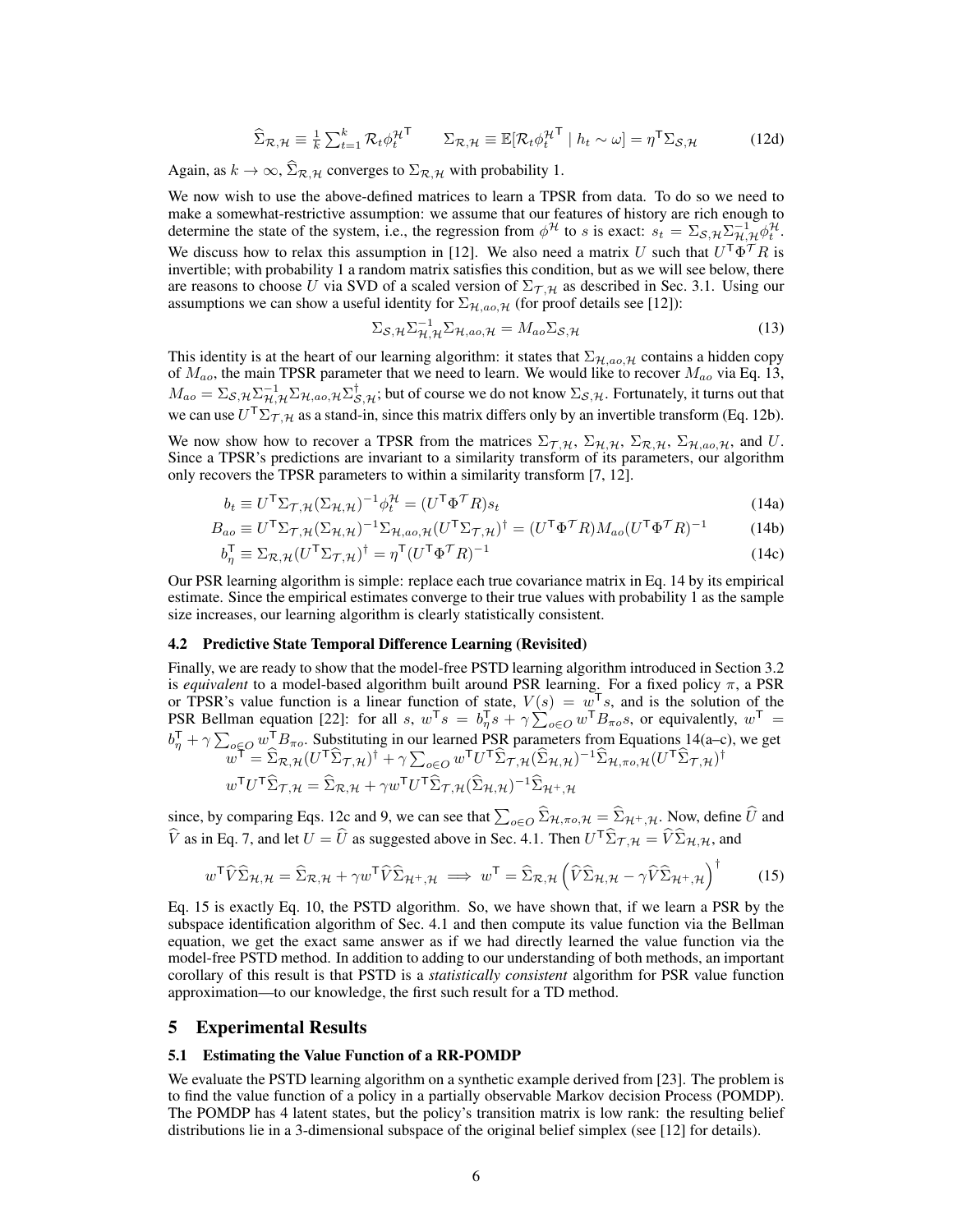$$
\widehat{\Sigma}_{\mathcal{R},\mathcal{H}} \equiv \frac{1}{k} \sum_{t=1}^{k} \mathcal{R}_t \phi_t^{\mathcal{H}^{\mathsf{T}}} \qquad \Sigma_{\mathcal{R},\mathcal{H}} \equiv \mathbb{E}[\mathcal{R}_t \phi_t^{\mathcal{H}^{\mathsf{T}}} \mid h_t \sim \omega] = \eta^{\mathsf{T}} \Sigma_{\mathcal{S},\mathcal{H}} \tag{12d}
$$

Again, as  $k \to \infty$ ,  $\widehat{\Sigma}_{\mathcal{R},\mathcal{H}}$  converges to  $\Sigma_{\mathcal{R},\mathcal{H}}$  with probability 1.

We now wish to use the above-defined matrices to learn a TPSR from data. To do so we need to make a somewhat-restrictive assumption: we assume that our features of history are rich enough to determine the state of the system, i.e., the regression from  $\phi^{\mathcal{H}}$  to s is exact:  $s_t = \sum_{\mathcal{S},\mathcal{H}} \sum_{\mathcal{H},\mathcal{H}}^{-1} \phi_t^{\mathcal{H}}$ . We discuss how to relax this assumption in [12]. We also need a matrix U such that  $U^{\mathsf{T}} \Phi^{\mathcal{T}} R$  is invertible; with probability 1 a random matrix satisfies this condition, but as we will see below, there are reasons to choose U via SVD of a scaled version of  $\Sigma_{\tau,\mathcal{H}}$  as described in Sec. 3.1. Using our assumptions we can show a useful identity for  $\Sigma_{\mathcal{H},a\sigma,\mathcal{H}}$  (for proof details see [12]):

$$
\Sigma_{\mathcal{S},\mathcal{H}} \Sigma_{\mathcal{H},\mathcal{H}}^{-1} \Sigma_{\mathcal{H},a o,\mathcal{H}} = M_{ao} \Sigma_{\mathcal{S},\mathcal{H}}
$$
(13)

This identity is at the heart of our learning algorithm: it states that  $\Sigma_{\mathcal{H},a\alpha,\mathcal{H}}$  contains a hidden copy of  $M_{ao}$ , the main TPSR parameter that we need to learn. We would like to recover  $M_{ao}$  via Eq. 13,  $M_{ao} = \Sigma_{\mathcal{S},\mathcal{H}} \Sigma_{\mathcal{H},\mathcal{H}}^{-1} \Sigma_{\mathcal{H},ao,\mathcal{H}} \Sigma_{\mathcal{S},\mathcal{H}}^{\dagger}$ ; but of course we do not know  $\Sigma_{\mathcal{S},\mathcal{H}}$ . Fortunately, it turns out that we can use  $U^{\mathsf{T}}\Sigma_{\mathcal{T},\mathcal{H}}$  as a stand-in, since this matrix differs only by an invertible transform (Eq. 12b).

We now show how to recover a TPSR from the matrices  $\Sigma_{\mathcal{T},\mathcal{H}}, \Sigma_{\mathcal{H},\mathcal{H}}, \Sigma_{\mathcal{R},\mathcal{H}}, \Sigma_{\mathcal{H},a\circ,\mathcal{H}},$  and U. Since a TPSR's predictions are invariant to a similarity transform of its parameters, our algorithm only recovers the TPSR parameters to within a similarity transform [7, 12].

$$
b_t \equiv U^{\mathsf{T}} \Sigma_{\mathcal{T}, \mathcal{H}} (\Sigma_{\mathcal{H}, \mathcal{H}})^{-1} \phi_t^{\mathcal{H}} = (U^{\mathsf{T}} \Phi^{\mathcal{T}} R) s_t
$$
\n(14a)

$$
B_{ao} \equiv U^{\mathsf{T}} \Sigma_{\mathcal{T}, \mathcal{H}} (\Sigma_{\mathcal{H}, \mathcal{H}})^{-1} \Sigma_{\mathcal{H}, ao, \mathcal{H}} (U^{\mathsf{T}} \Sigma_{\mathcal{T}, \mathcal{H}})^{\dagger} = (U^{\mathsf{T}} \Phi^{\mathcal{T}} R) M_{ao} (U^{\mathsf{T}} \Phi^{\mathcal{T}} R)^{-1}
$$
(14b)

$$
b_{\eta}^{\mathsf{T}} \equiv \Sigma_{\mathcal{R}, \mathcal{H}} (U^{\mathsf{T}} \Sigma_{\mathcal{T}, \mathcal{H}})^{\dagger} = \eta^{\mathsf{T}} (U^{\mathsf{T}} \Phi^{\mathcal{T}} R)^{-1}
$$
(14c)

Our PSR learning algorithm is simple: replace each true covariance matrix in Eq. 14 by its empirical estimate. Since the empirical estimates converge to their true values with probability 1 as the sample size increases, our learning algorithm is clearly statistically consistent.

#### 4.2 Predictive State Temporal Difference Learning (Revisited)

Finally, we are ready to show that the model-free PSTD learning algorithm introduced in Section 3.2 is *equivalent* to a model-based algorithm built around PSR learning. For a fixed policy π, a PSR or TPSR's value function is a linear function of state,  $V(s) = w^{\mathsf{T}}s$ , and is the solution of the PSR Bellman equation [22]: for all s,  $w^T s = b_\eta^T s + \gamma \sum_{o \in O}^{\infty} w^T B_{\pi o} s$ , or equivalently,  $w^T =$  $b_{\eta}^{\dagger} + \gamma \sum_{o \in O} w_{\gamma}^{\dagger} B_{\pi o}$ . Substituting in our learned PSR parameters from Equations 14(a–c), we get  $w^{\mathsf{T}} = \widehat{\Sigma}_{\mathcal{R},\mathcal{H}}(U^{\mathsf{T}}\widehat{\Sigma}_{\mathcal{T},\mathcal{H}})^{\dagger} + \gamma \sum_{o\in O} w^{\mathsf{T}}U^{\mathsf{T}}\widehat{\Sigma}_{\mathcal{T},\mathcal{H}}(\widehat{\Sigma}_{\mathcal{H},\mathcal{H}})^{-1}\widehat{\Sigma}_{\mathcal{H},\pi o,\mathcal{H}}(U^{\mathsf{T}}\widehat{\Sigma}_{\mathcal{T},\mathcal{H}})^{\dagger}$  $w^{\mathsf{T}} U^{\mathsf{T}} \widehat{\Sigma}_{\mathcal{T},\mathcal{H}} = \widehat{\Sigma}_{\mathcal{R},\mathcal{H}} + \gamma w^{\mathsf{T}} U^{\mathsf{T}} \widehat{\Sigma}_{\mathcal{T},\mathcal{H}} (\widehat{\Sigma}_{\mathcal{H},\mathcal{H}})^{-1} \widehat{\Sigma}_{\mathcal{H}^+,\mathcal{H}}$ 

since, by comparing Eqs. 12c and 9, we can see that  $\sum_{o \in O} \Sigma_{\mathcal{H}, \pi o, \mathcal{H}} = \sum_{\mathcal{H}^+,\mathcal{H}^+} \sum_{o \in O} \infty$ , define U and  $\hat{V}$  as in Eq. 7, and let  $U = \hat{U}$  as suggested above in Sec. 4.1. Then  $U^{\mathsf{T}}\hat{\Sigma}_{\mathcal{T},\mathcal{H}} = \hat{V}\hat{\Sigma}_{\mathcal{H},\mathcal{H}}$ , and

$$
w^{\mathsf{T}}\widehat{V}\widehat{\Sigma}_{\mathcal{H},\mathcal{H}} = \widehat{\Sigma}_{\mathcal{R},\mathcal{H}} + \gamma w^{\mathsf{T}}\widehat{V}\widehat{\Sigma}_{\mathcal{H}^+,\mathcal{H}} \implies w^{\mathsf{T}} = \widehat{\Sigma}_{\mathcal{R},\mathcal{H}}\left(\widehat{V}\widehat{\Sigma}_{\mathcal{H},\mathcal{H}} - \gamma\widehat{V}\widehat{\Sigma}_{\mathcal{H}^+,\mathcal{H}}\right)^{\dagger} \tag{15}
$$

Eq. 15 is exactly Eq. 10, the PSTD algorithm. So, we have shown that, if we learn a PSR by the subspace identification algorithm of Sec. 4.1 and then compute its value function via the Bellman equation, we get the exact same answer as if we had directly learned the value function via the model-free PSTD method. In addition to adding to our understanding of both methods, an important corollary of this result is that PSTD is a *statistically consistent* algorithm for PSR value function approximation—to our knowledge, the first such result for a TD method.

## 5 Experimental Results

#### 5.1 Estimating the Value Function of a RR-POMDP

We evaluate the PSTD learning algorithm on a synthetic example derived from [23]. The problem is to find the value function of a policy in a partially observable Markov decision Process (POMDP). The POMDP has 4 latent states, but the policy's transition matrix is low rank: the resulting belief distributions lie in a 3-dimensional subspace of the original belief simplex (see [12] for details).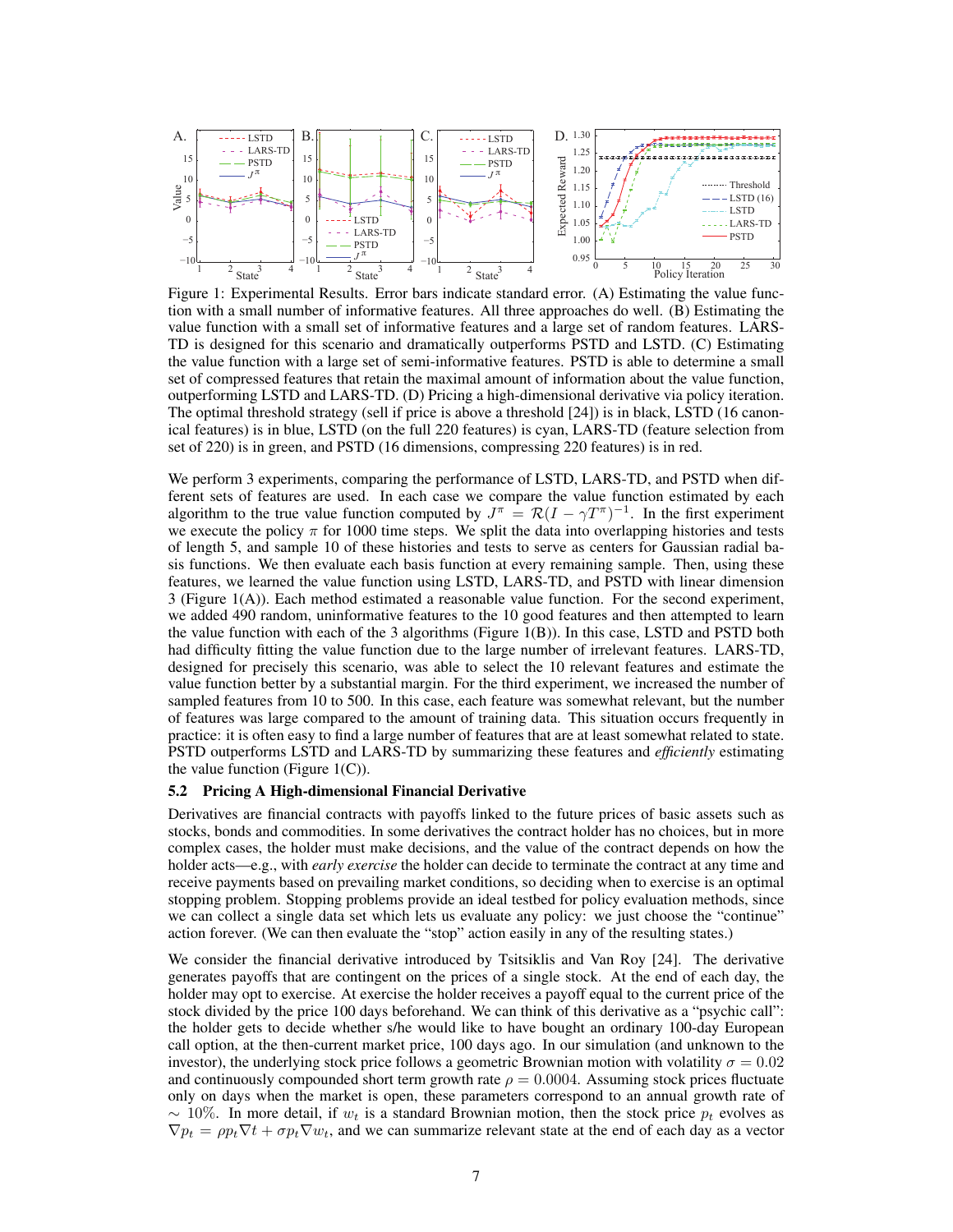

Figure 1: Experimental Results. Error bars indicate standard error. (A) Estimating the value function with a small number of informative features. All three approaches do well. (B) Estimating the value function with a small set of informative features and a large set of random features. LARS-TD is designed for this scenario and dramatically outperforms PSTD and LSTD. (C) Estimating the value function with a large set of semi-informative features. PSTD is able to determine a small set of compressed features that retain the maximal amount of information about the value function, outperforming LSTD and LARS-TD. (D) Pricing a high-dimensional derivative via policy iteration. The optimal threshold strategy (sell if price is above a threshold [24]) is in black, LSTD (16 canonical features) is in blue, LSTD (on the full 220 features) is cyan, LARS-TD (feature selection from set of 220) is in green, and PSTD (16 dimensions, compressing 220 features) is in red.

We perform 3 experiments, comparing the performance of LSTD, LARS-TD, and PSTD when different sets of features are used. In each case we compare the value function estimated by each algorithm to the true value function computed by  $J^{\pi} = \mathcal{R}(I - \gamma T^{\pi})^{-1}$ . In the first experiment we execute the policy  $\pi$  for 1000 time steps. We split the data into overlapping histories and tests of length 5, and sample 10 of these histories and tests to serve as centers for Gaussian radial basis functions. We then evaluate each basis function at every remaining sample. Then, using these features, we learned the value function using LSTD, LARS-TD, and PSTD with linear dimension 3 (Figure 1(A)). Each method estimated a reasonable value function. For the second experiment, we added 490 random, uninformative features to the 10 good features and then attempted to learn the value function with each of the 3 algorithms (Figure 1(B)). In this case, LSTD and PSTD both had difficulty fitting the value function due to the large number of irrelevant features. LARS-TD, designed for precisely this scenario, was able to select the 10 relevant features and estimate the value function better by a substantial margin. For the third experiment, we increased the number of sampled features from 10 to 500. In this case, each feature was somewhat relevant, but the number of features was large compared to the amount of training data. This situation occurs frequently in practice: it is often easy to find a large number of features that are at least somewhat related to state. PSTD outperforms LSTD and LARS-TD by summarizing these features and *efficiently* estimating the value function (Figure  $1(C)$ ).

## 5.2 Pricing A High-dimensional Financial Derivative

Derivatives are financial contracts with payoffs linked to the future prices of basic assets such as stocks, bonds and commodities. In some derivatives the contract holder has no choices, but in more complex cases, the holder must make decisions, and the value of the contract depends on how the holder acts—e.g., with *early exercise* the holder can decide to terminate the contract at any time and receive payments based on prevailing market conditions, so deciding when to exercise is an optimal stopping problem. Stopping problems provide an ideal testbed for policy evaluation methods, since we can collect a single data set which lets us evaluate any policy: we just choose the "continue" action forever. (We can then evaluate the "stop" action easily in any of the resulting states.)

We consider the financial derivative introduced by Tsitsiklis and Van Roy [24]. The derivative generates payoffs that are contingent on the prices of a single stock. At the end of each day, the holder may opt to exercise. At exercise the holder receives a payoff equal to the current price of the stock divided by the price 100 days beforehand. We can think of this derivative as a "psychic call": the holder gets to decide whether s/he would like to have bought an ordinary 100-day European call option, at the then-current market price, 100 days ago. In our simulation (and unknown to the investor), the underlying stock price follows a geometric Brownian motion with volatility  $\sigma = 0.02$ and continuously compounded short term growth rate  $\rho = 0.0004$ . Assuming stock prices fluctuate only on days when the market is open, these parameters correspond to an annual growth rate of ~ 10%. In more detail, if  $w_t$  is a standard Brownian motion, then the stock price  $p_t$  evolves as  $\nabla p_t = \rho p_t \nabla t + \sigma p_t \nabla w_t$ , and we can summarize relevant state at the end of each day as a vector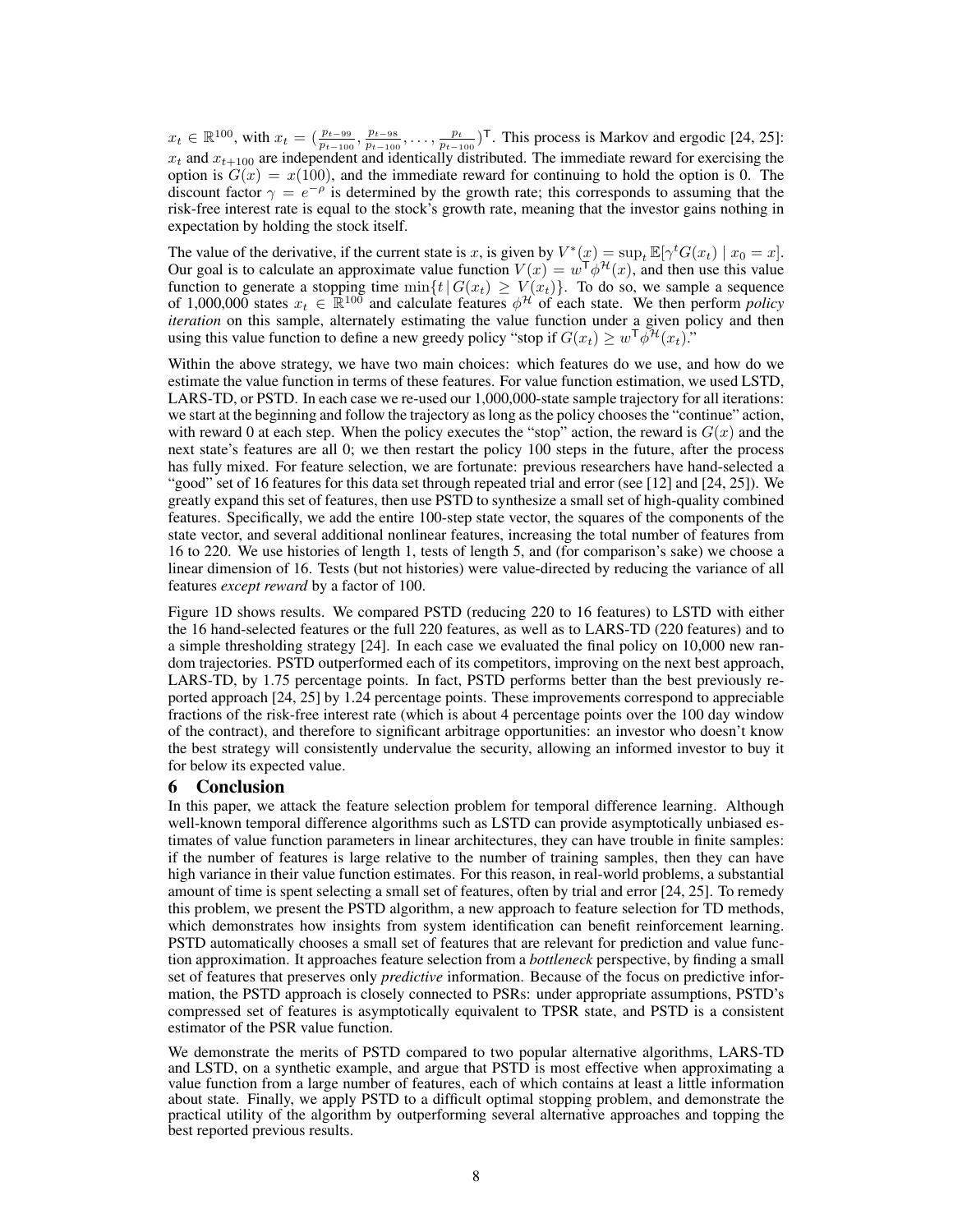$x_t \in \mathbb{R}^{100}$ , with  $x_t = \left(\frac{p_{t-99}}{p_{t-100}}, \frac{p_{t-98}}{p_{t-100}}\right)$  $\frac{p_{t-98}}{p_{t-100}}, \ldots, \frac{p_t}{p_{t-100}})^T$ . This process is Markov and ergodic [24, 25]:  $x_t$  and  $x_{t+100}$  are independent and identically distributed. The immediate reward for exercising the option is  $G(x) = x(100)$ , and the immediate reward for continuing to hold the option is 0. The discount factor  $\gamma = e^{-\rho}$  is determined by the growth rate; this corresponds to assuming that the risk-free interest rate is equal to the stock's growth rate, meaning that the investor gains nothing in expectation by holding the stock itself.

The value of the derivative, if the current state is x, is given by  $V^*(x) = \sup_t \mathbb{E}[\gamma^t G(x_t) | x_0 = x].$ Our goal is to calculate an approximate value function  $V(x) = w^{\mathsf{T}} \phi^{\mathcal{H}}(x)$ , and then use this value function to generate a stopping time  $\min\{t | G(x_t) \geq V(x_t)\}\)$ . To do so, we sample a sequence of 1,000,000 states  $x_t \in \mathbb{R}^{100}$  and calculate features  $\phi^{\mathcal{H}}$  of each state. We then perform *policy iteration* on this sample, alternately estimating the value function under a given policy and then using this value function to define a new greedy policy "stop if  $G(x_t) \geq w^{\mathsf{T}} \phi^{\mathcal{H}}(x_t)$ ."

Within the above strategy, we have two main choices: which features do we use, and how do we estimate the value function in terms of these features. For value function estimation, we used LSTD, LARS-TD, or PSTD. In each case we re-used our 1,000,000-state sample trajectory for all iterations: we start at the beginning and follow the trajectory as long as the policy chooses the "continue" action, with reward 0 at each step. When the policy executes the "stop" action, the reward is  $G(x)$  and the next state's features are all 0; we then restart the policy 100 steps in the future, after the process has fully mixed. For feature selection, we are fortunate: previous researchers have hand-selected a "good" set of 16 features for this data set through repeated trial and error (see [12] and [24, 25]). We greatly expand this set of features, then use PSTD to synthesize a small set of high-quality combined features. Specifically, we add the entire 100-step state vector, the squares of the components of the state vector, and several additional nonlinear features, increasing the total number of features from 16 to 220. We use histories of length 1, tests of length 5, and (for comparison's sake) we choose a linear dimension of 16. Tests (but not histories) were value-directed by reducing the variance of all features *except reward* by a factor of 100.

Figure 1D shows results. We compared PSTD (reducing 220 to 16 features) to LSTD with either the 16 hand-selected features or the full 220 features, as well as to LARS-TD (220 features) and to a simple thresholding strategy [24]. In each case we evaluated the final policy on 10,000 new random trajectories. PSTD outperformed each of its competitors, improving on the next best approach, LARS-TD, by 1.75 percentage points. In fact, PSTD performs better than the best previously reported approach [24, 25] by 1.24 percentage points. These improvements correspond to appreciable fractions of the risk-free interest rate (which is about 4 percentage points over the 100 day window of the contract), and therefore to significant arbitrage opportunities: an investor who doesn't know the best strategy will consistently undervalue the security, allowing an informed investor to buy it for below its expected value.

# 6 Conclusion

In this paper, we attack the feature selection problem for temporal difference learning. Although well-known temporal difference algorithms such as LSTD can provide asymptotically unbiased estimates of value function parameters in linear architectures, they can have trouble in finite samples: if the number of features is large relative to the number of training samples, then they can have high variance in their value function estimates. For this reason, in real-world problems, a substantial amount of time is spent selecting a small set of features, often by trial and error [24, 25]. To remedy this problem, we present the PSTD algorithm, a new approach to feature selection for TD methods, which demonstrates how insights from system identification can benefit reinforcement learning. PSTD automatically chooses a small set of features that are relevant for prediction and value function approximation. It approaches feature selection from a *bottleneck* perspective, by finding a small set of features that preserves only *predictive* information. Because of the focus on predictive information, the PSTD approach is closely connected to PSRs: under appropriate assumptions, PSTD's compressed set of features is asymptotically equivalent to TPSR state, and PSTD is a consistent estimator of the PSR value function.

We demonstrate the merits of PSTD compared to two popular alternative algorithms, LARS-TD and LSTD, on a synthetic example, and argue that PSTD is most effective when approximating a value function from a large number of features, each of which contains at least a little information about state. Finally, we apply PSTD to a difficult optimal stopping problem, and demonstrate the practical utility of the algorithm by outperforming several alternative approaches and topping the best reported previous results.